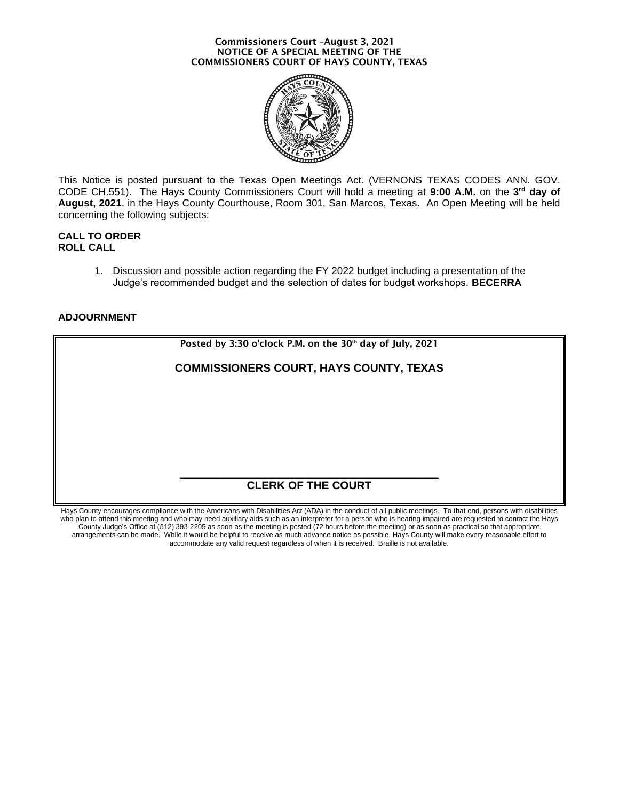#### **Commissioners Court –August 3, 2021 NOTICE OF A SPECIAL MEETING OF THE COMMISSIONERS COURT OF HAYS COUNTY, TEXAS**



This Notice is posted pursuant to the Texas Open Meetings Act. (VERNONS TEXAS CODES ANN. GOV. CODE CH.551). The Hays County Commissioners Court will hold a meeting at **9:00 A.M.** on the **3 rd day of August, 2021**, in the Hays County Courthouse, Room 301, San Marcos, Texas. An Open Meeting will be held concerning the following subjects:

## **CALL TO ORDER ROLL CALL**

1. Discussion and possible action regarding the FY 2022 budget including a presentation of the [Judge's recommended budget and the selection of dates for budget workshops.](#page-1-0) **BECERRA**

# **ADJOURNMENT**



Hays County encourages compliance with the Americans with Disabilities Act (ADA) in the conduct of all public meetings. To that end, persons with disabilities who plan to attend this meeting and who may need auxiliary aids such as an interpreter for a person who is hearing impaired are requested to contact the Hays County Judge's Office at (512) 393-2205 as soon as the meeting is posted (72 hours before the meeting) or as soon as practical so that appropriate arrangements can be made. While it would be helpful to receive as much advance notice as possible, Hays County will make every reasonable effort to accommodate any valid request regardless of when it is received. Braille is not available.